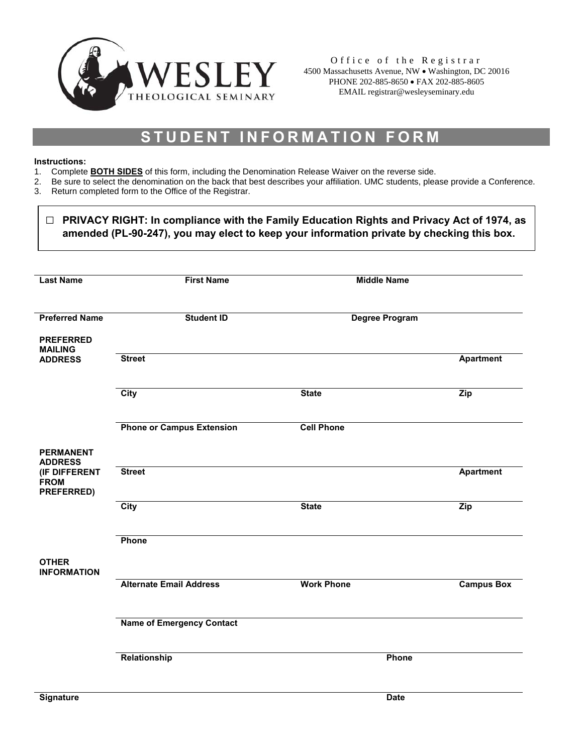

Office of the Registrar 4500 Massachusetts Avenue, NW • Washington, DC 20016 PHONE 202-885-8650 • FAX 202-885-8605 EMAIL registrar@wesleyseminary.edu

# **STUDENT INFORMATION FORM**

#### **Instructions:**

r

- 1. Complete **BOTH SIDES** of this form, including the Denomination Release Waiver on the reverse side.
- 2. Be sure to select the denomination on the back that best describes your affiliation. UMC students, please provide a Conference.
- 3. Return completed form to the Office of the Registrar.

| <b>Last Name</b>                           | <b>First Name</b>                | <b>Middle Name</b>    |                   |
|--------------------------------------------|----------------------------------|-----------------------|-------------------|
| <b>Preferred Name</b>                      | <b>Student ID</b>                | <b>Degree Program</b> |                   |
| <b>PREFERRED</b><br><b>MAILING</b>         |                                  |                       |                   |
| <b>ADDRESS</b>                             | <b>Street</b>                    |                       | <b>Apartment</b>  |
|                                            | <b>City</b>                      | <b>State</b>          | Zip               |
|                                            | <b>Phone or Campus Extension</b> | <b>Cell Phone</b>     |                   |
| <b>PERMANENT</b><br><b>ADDRESS</b>         |                                  |                       |                   |
| (IF DIFFERENT<br><b>FROM</b><br>PREFERRED) | <b>Street</b>                    |                       | <b>Apartment</b>  |
|                                            | <b>City</b>                      | <b>State</b>          | Zip               |
|                                            | Phone                            |                       |                   |
| <b>OTHER</b><br><b>INFORMATION</b>         |                                  |                       |                   |
|                                            | <b>Alternate Email Address</b>   | <b>Work Phone</b>     | <b>Campus Box</b> |
|                                            | <b>Name of Emergency Contact</b> |                       |                   |
|                                            | Relationship                     | Phone                 |                   |